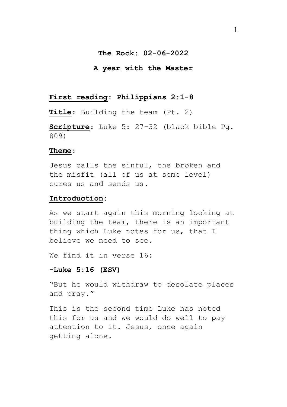### **The Rock: 02-06-2022**

#### **A year with the Master**

# **First reading: Philippians 2:1-8**

**Title**: Building the team (Pt. 2)

**Scripture**: Luke 5: 27-32 (black bible Pg. 809)

#### **Theme**:

Jesus calls the sinful, the broken and the misfit (all of us at some level) cures us and sends us.

#### **Introduction:**

As we start again this morning looking at building the team, there is an important thing which Luke notes for us, that I believe we need to see.

We find it in verse 16:

### **-Luke 5:16 (ESV)**

"But he would withdraw to desolate places and pray."

This is the second time Luke has noted this for us and we would do well to pay attention to it. Jesus, once again getting alone.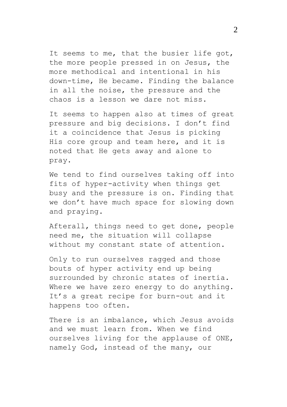It seems to me, that the busier life got, the more people pressed in on Jesus, the more methodical and intentional in his down-time, He became. Finding the balance in all the noise, the pressure and the chaos is a lesson we dare not miss.

It seems to happen also at times of great pressure and big decisions. I don't find it a coincidence that Jesus is picking His core group and team here, and it is noted that He gets away and alone to pray.

We tend to find ourselves taking off into fits of hyper-activity when things get busy and the pressure is on. Finding that we don't have much space for slowing down and praying.

Afterall, things need to get done, people need me, the situation will collapse without my constant state of attention.

Only to run ourselves ragged and those bouts of hyper activity end up being surrounded by chronic states of inertia. Where we have zero energy to do anything. It's a great recipe for burn-out and it happens too often.

There is an imbalance, which Jesus avoids and we must learn from. When we find ourselves living for the applause of ONE, namely God, instead of the many, our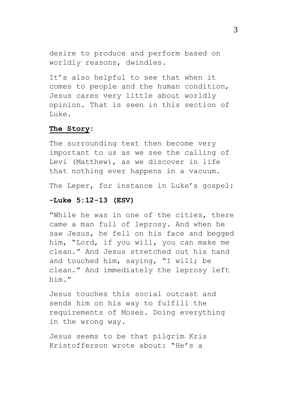desire to produce and perform based on worldly reasons, dwindles.

It's also helpful to see that when it comes to people and the human condition, Jesus cares very little about worldly opinion. That is seen in this section of  $Lulec{0.1cm}0.1cm$ 

## **The Story:**

The surrounding text then become very important to us as we see the calling of Levi (Matthew), as we discover in life that nothing ever happens in a vacuum.

The Leper, for instance in Luke's gospel:

## **-Luke 5:12-13 (ESV)**

"While he was in one of the cities, there came a man full of leprosy. And when he saw Jesus, he fell on his face and begged him, "Lord, if you will, you can make me clean." And Jesus stretched out his hand and touched him, saying, "I will; be clean." And immediately the leprosy left him."

Jesus touches this social outcast and sends him on his way to fulfill the requirements of Moses. Doing everything in the wrong way.

Jesus seems to be that pilgrim Kris Kristofferson wrote about: "He's a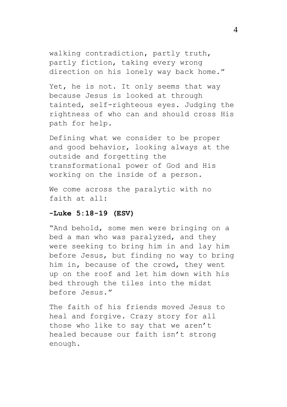walking contradiction, partly truth, partly fiction, taking every wrong direction on his lonely way back home."

Yet, he is not. It only seems that way because Jesus is looked at through tainted, self-righteous eyes. Judging the rightness of who can and should cross His path for help.

Defining what we consider to be proper and good behavior, looking always at the outside and forgetting the transformational power of God and His working on the inside of a person.

We come across the paralytic with no faith at all:

### **-Luke 5:18-19 (ESV)**

"And behold, some men were bringing on a bed a man who was paralyzed, and they were seeking to bring him in and lay him before Jesus, but finding no way to bring him in, because of the crowd, they went up on the roof and let him down with his bed through the tiles into the midst before Jesus."

The faith of his friends moved Jesus to heal and forgive. Crazy story for all those who like to say that we aren't healed because our faith isn't strong enough.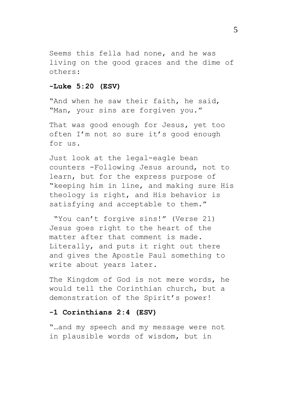Seems this fella had none, and he was living on the good graces and the dime of others:

# **-Luke 5:20 (ESV)**

"And when he saw their faith, he said, "Man, your sins are forgiven you."

That was good enough for Jesus, yet too often I'm not so sure it's good enough for us.

Just look at the legal-eagle bean counters -Following Jesus around, not to learn, but for the express purpose of "keeping him in line, and making sure His theology is right, and His behavior is satisfying and acceptable to them."

"You can't forgive sins!" (Verse 21) Jesus goes right to the heart of the matter after that comment is made. Literally, and puts it right out there and gives the Apostle Paul something to write about years later.

The Kingdom of God is not mere words, he would tell the Corinthian church, but a demonstration of the Spirit's power!

# **-1 Corinthians 2:4 (ESV)**

"…and my speech and my message were not in plausible words of wisdom, but in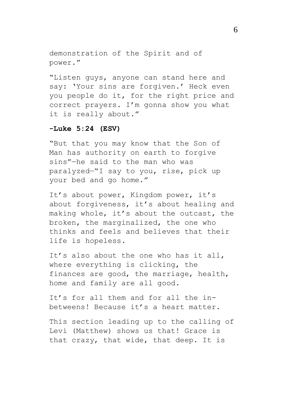demonstration of the Spirit and of power."

"Listen guys, anyone can stand here and say: 'Your sins are forgiven.' Heck even you people do it, for the right price and correct prayers. I'm gonna show you what it is really about."

# **-Luke 5:24 (ESV)**

"But that you may know that the Son of Man has authority on earth to forgive sins"—he said to the man who was paralyzed—"I say to you, rise, pick up your bed and go home."

It's about power, Kingdom power, it's about forgiveness, it's about healing and making whole, it's about the outcast, the broken, the marginalized, the one who thinks and feels and believes that their life is hopeless.

It's also about the one who has it all, where everything is clicking, the finances are good, the marriage, health, home and family are all good.

It's for all them and for all the inbetweens! Because it's a heart matter.

This section leading up to the calling of Levi (Matthew) shows us that! Grace is that crazy, that wide, that deep. It is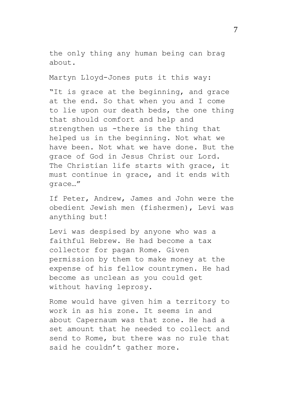the only thing any human being can brag about.

Martyn Lloyd-Jones puts it this way:

"It is grace at the beginning, and grace at the end. So that when you and I come to lie upon our death beds, the one thing that should comfort and help and strengthen us -there is the thing that helped us in the beginning. Not what we have been. Not what we have done. But the grace of God in Jesus Christ our Lord. The Christian life starts with grace, it must continue in grace, and it ends with grace…"

If Peter, Andrew, James and John were the obedient Jewish men (fishermen), Levi was anything but!

Levi was despised by anyone who was a faithful Hebrew. He had become a tax collector for pagan Rome. Given permission by them to make money at the expense of his fellow countrymen. He had become as unclean as you could get without having leprosy.

Rome would have given him a territory to work in as his zone. It seems in and about Capernaum was that zone. He had a set amount that he needed to collect and send to Rome, but there was no rule that said he couldn't gather more.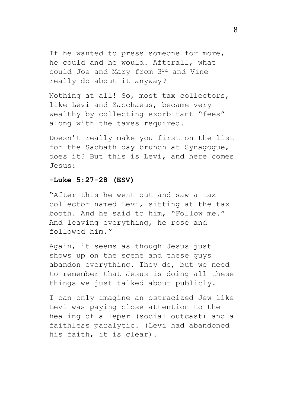If he wanted to press someone for more, he could and he would. Afterall, what could Joe and Mary from 3rd and Vine really do about it anyway?

Nothing at all! So, most tax collectors, like Levi and Zacchaeus, became very wealthy by collecting exorbitant "fees" along with the taxes required.

Doesn't really make you first on the list for the Sabbath day brunch at Synagogue, does it? But this is Levi, and here comes Jesus:

# **-Luke 5:27-28 (ESV)**

"After this he went out and saw a tax collector named Levi, sitting at the tax booth. And he said to him, "Follow me." And leaving everything, he rose and followed him."

Again, it seems as though Jesus just shows up on the scene and these guys abandon everything. They do, but we need to remember that Jesus is doing all these things we just talked about publicly.

I can only imagine an ostracized Jew like Levi was paying close attention to the healing of a leper (social outcast) and a faithless paralytic. (Levi had abandoned his faith, it is clear).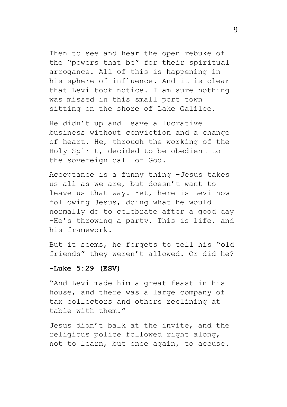Then to see and hear the open rebuke of the "powers that be" for their spiritual arrogance. All of this is happening in his sphere of influence. And it is clear that Levi took notice. I am sure nothing was missed in this small port town sitting on the shore of Lake Galilee.

He didn't up and leave a lucrative business without conviction and a change of heart. He, through the working of the Holy Spirit, decided to be obedient to the sovereign call of God.

Acceptance is a funny thing -Jesus takes us all as we are, but doesn't want to leave us that way. Yet, here is Levi now following Jesus, doing what he would normally do to celebrate after a good day -He's throwing a party. This is life, and his framework.

But it seems, he forgets to tell his "old friends" they weren't allowed. Or did he?

#### **-Luke 5:29 (ESV)**

"And Levi made him a great feast in his house, and there was a large company of tax collectors and others reclining at table with them."

Jesus didn't balk at the invite, and the religious police followed right along, not to learn, but once again, to accuse.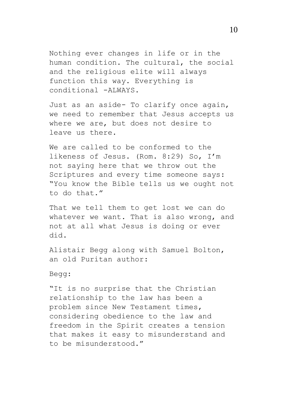Nothing ever changes in life or in the human condition. The cultural, the social and the religious elite will always function this way. Everything is conditional -ALWAYS.

Just as an aside- To clarify once again, we need to remember that Jesus accepts us where we are, but does not desire to leave us there.

We are called to be conformed to the likeness of Jesus. (Rom. 8:29) So, I'm not saying here that we throw out the Scriptures and every time someone says: "You know the Bible tells us we ought not to do that."

That we tell them to get lost we can do whatever we want. That is also wrong, and not at all what Jesus is doing or ever did.

Alistair Begg along with Samuel Bolton, an old Puritan author:

Begg:

"It is no surprise that the Christian relationship to the law has been a problem since New Testament times, considering obedience to the law and freedom in the Spirit creates a tension that makes it easy to misunderstand and to be misunderstood."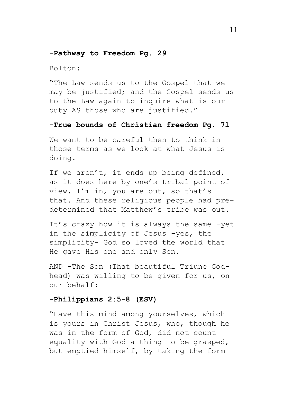#### **-Pathway to Freedom Pg. 29**

Bolton:

"The Law sends us to the Gospel that we may be justified; and the Gospel sends us to the Law again to inquire what is our duty AS those who are justified."

## **-True bounds of Christian freedom Pg. 71**

We want to be careful then to think in those terms as we look at what Jesus is doing.

If we aren't, it ends up being defined, as it does here by one's tribal point of view. I'm in, you are out, so that's that. And these religious people had predetermined that Matthew's tribe was out.

It's crazy how it is always the same -yet in the simplicity of Jesus -yes, the simplicity- God so loved the world that He gave His one and only Son.

AND -The Son (That beautiful Triune Godhead) was willing to be given for us, on our behalf:

# **-Philippians 2:5-8 (ESV)**

"Have this mind among yourselves, which is yours in Christ Jesus, who, though he was in the form of God, did not count equality with God a thing to be grasped, but emptied himself, by taking the form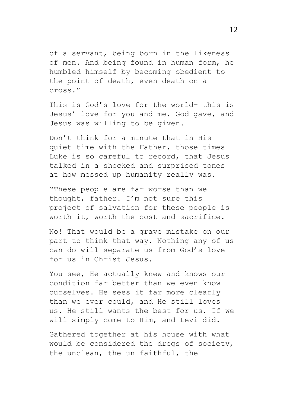of a servant, being born in the likeness of men. And being found in human form, he humbled himself by becoming obedient to the point of death, even death on a cross."

This is God's love for the world- this is Jesus' love for you and me. God gave, and Jesus was willing to be given.

Don't think for a minute that in His quiet time with the Father, those times Luke is so careful to record, that Jesus talked in a shocked and surprised tones at how messed up humanity really was.

"These people are far worse than we thought, father. I'm not sure this project of salvation for these people is worth it, worth the cost and sacrifice.

No! That would be a grave mistake on our part to think that way. Nothing any of us can do will separate us from God's love for us in Christ Jesus.

You see, He actually knew and knows our condition far better than we even know ourselves. He sees it far more clearly than we ever could, and He still loves us. He still wants the best for us. If we will simply come to Him, and Levi did.

Gathered together at his house with what would be considered the dregs of society, the unclean, the un-faithful, the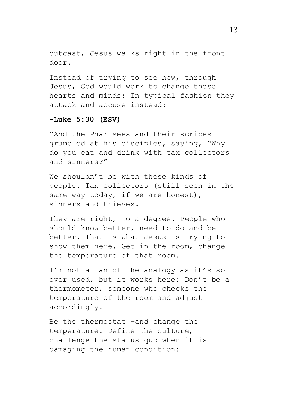outcast, Jesus walks right in the front door.

Instead of trying to see how, through Jesus, God would work to change these hearts and minds: In typical fashion they attack and accuse instead:

# **-Luke 5:30 (ESV)**

"And the Pharisees and their scribes grumbled at his disciples, saying, "Why do you eat and drink with tax collectors and sinners?"

We shouldn't be with these kinds of people. Tax collectors (still seen in the same way today, if we are honest), sinners and thieves.

They are right, to a degree. People who should know better, need to do and be better. That is what Jesus is trying to show them here. Get in the room, change the temperature of that room.

I'm not a fan of the analogy as it's so over used, but it works here: Don't be a thermometer, someone who checks the temperature of the room and adjust accordingly.

Be the thermostat -and change the temperature. Define the culture, challenge the status-quo when it is damaging the human condition: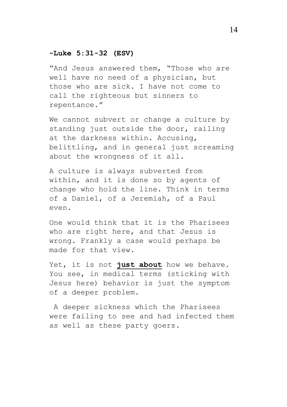# **-Luke 5:31-32 (ESV)**

"And Jesus answered them, "Those who are well have no need of a physician, but those who are sick. I have not come to call the righteous but sinners to repentance."

We cannot subvert or change a culture by standing just outside the door, railing at the darkness within. Accusing, belittling, and in general just screaming about the wrongness of it all.

A culture is always subverted from within, and it is done so by agents of change who hold the line. Think in terms of a Daniel, of a Jeremiah, of a Paul even.

One would think that it is the Pharisees who are right here, and that Jesus is wrong. Frankly a case would perhaps be made for that view.

Yet, it is not **just about** how we behave. You see, in medical terms (sticking with Jesus here) behavior is just the symptom of a deeper problem.

A deeper sickness which the Pharisees were failing to see and had infected them as well as these party goers.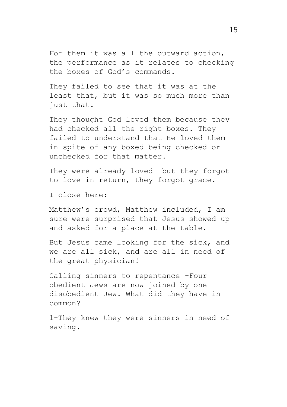For them it was all the outward action, the performance as it relates to checking the boxes of God's commands.

They failed to see that it was at the least that, but it was so much more than just that.

They thought God loved them because they had checked all the right boxes. They failed to understand that He loved them in spite of any boxed being checked or unchecked for that matter.

They were already loved -but they forgot to love in return, they forgot grace.

I close here:

Matthew's crowd, Matthew included, I am sure were surprised that Jesus showed up and asked for a place at the table.

But Jesus came looking for the sick, and we are all sick, and are all in need of the great physician!

Calling sinners to repentance -Four obedient Jews are now joined by one disobedient Jew. What did they have in common?

1-They knew they were sinners in need of saving.